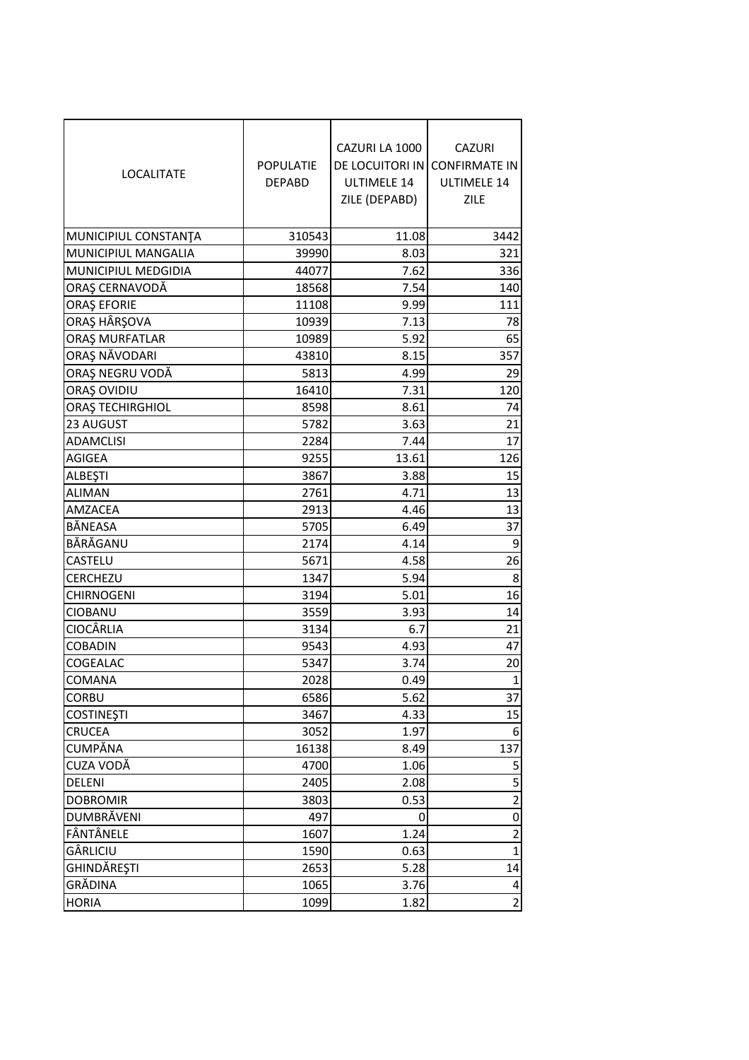| <b>LOCALITATE</b>    | <b>POPULATIE</b><br><b>DEPABD</b> | CAZURI LA 1000<br><b>ULTIMELE 14</b><br>ZILE (DEPABD) | <b>CAZURI</b><br>DE LOCUITORI IN CONFIRMATE IN<br>ULTIMELE 14<br>ZILE |
|----------------------|-----------------------------------|-------------------------------------------------------|-----------------------------------------------------------------------|
| MUNICIPIUL CONSTANTA | 310543                            | 11.08                                                 | 3442                                                                  |
| MUNICIPIUL MANGALIA  | 39990                             | 8.03                                                  | 321                                                                   |
| MUNICIPIUL MEDGIDIA  | 44077                             | 7.62                                                  | 336                                                                   |
| ORAȘ CERNAVODĂ       | 18568                             | 7.54                                                  | 140                                                                   |
| <b>ORAȘ EFORIE</b>   | 11108                             | 9.99                                                  | 111                                                                   |
| ORAŞ HÂRŞOVA         | 10939                             | 7.13                                                  | 78                                                                    |
| ORAȘ MURFATLAR       | 10989                             | 5.92                                                  | 65                                                                    |
| ORAȘ NĂVODARI        | 43810                             | 8.15                                                  | 357                                                                   |
| ORAȘ NEGRU VODĂ      | 5813                              | 4.99                                                  | 29                                                                    |
| ORAȘ OVIDIU          | 16410                             | 7.31                                                  | 120                                                                   |
| ORAȘ TECHIRGHIOL     | 8598                              | 8.61                                                  | 74                                                                    |
| 23 AUGUST            | 5782                              | 3.63                                                  | 21                                                                    |
| <b>ADAMCLISI</b>     | 2284                              | 7.44                                                  | 17                                                                    |
| <b>AGIGEA</b>        | 9255                              | 13.61                                                 | 126                                                                   |
| <b>ALBEȘTI</b>       | 3867                              | 3.88                                                  | 15                                                                    |
| <b>ALIMAN</b>        | 2761                              | 4.71                                                  | 13                                                                    |
| AMZACEA              | 2913                              | 4.46                                                  | 13                                                                    |
| BÅNEASA              | 5705                              | 6.49                                                  | 37                                                                    |
| BĂRĂGANU             | 2174                              | 4.14                                                  | 9                                                                     |
| CASTELU              | 5671                              | 4.58                                                  | 26                                                                    |
| CERCHEZU             | 1347                              | 5.94                                                  | 8                                                                     |
| <b>CHIRNOGENI</b>    | 3194                              | 5.01                                                  | 16                                                                    |
| CIOBANU              | 3559                              | 3.93                                                  | 14                                                                    |
| <b>CIOCÂRLIA</b>     | 3134                              | 6.7                                                   | 21                                                                    |
| <b>COBADIN</b>       | 9543                              | 4.93                                                  | 47                                                                    |
| COGEALAC             | 5347                              | 3.74                                                  | 20                                                                    |
| <b>COMANA</b>        | 2028                              | 0.49                                                  | $\mathbf{1}$                                                          |
| <b>CORBU</b>         | 6586                              | 5.62                                                  | 37                                                                    |
| <b>COSTINEȘTI</b>    | 3467                              | 4.33                                                  | 15                                                                    |
| <b>CRUCEA</b>        | 3052                              | 1.97                                                  | 6                                                                     |
| <b>CUMPĂNA</b>       | 16138                             | 8.49                                                  | 137                                                                   |
| CUZA VODĂ            | 4700                              | 1.06                                                  | 5                                                                     |
| DELENI               | 2405                              | 2.08                                                  | 5                                                                     |
| <b>DOBROMIR</b>      | 3803                              | 0.53                                                  | 2                                                                     |
| DUMBRĂVENI           | 497                               | 0                                                     | $\mathbf 0$                                                           |
| FÂNTÂNELE            | 1607                              | 1.24                                                  | 2                                                                     |
| GÂRLICIU             | 1590                              | 0.63                                                  | 1                                                                     |
| GHINDĂREȘTI          | 2653                              | 5.28                                                  | 14                                                                    |
| GRĂDINA              | 1065                              | 3.76                                                  | 4                                                                     |
| <b>HORIA</b>         | 1099                              | 1.82                                                  | 2                                                                     |